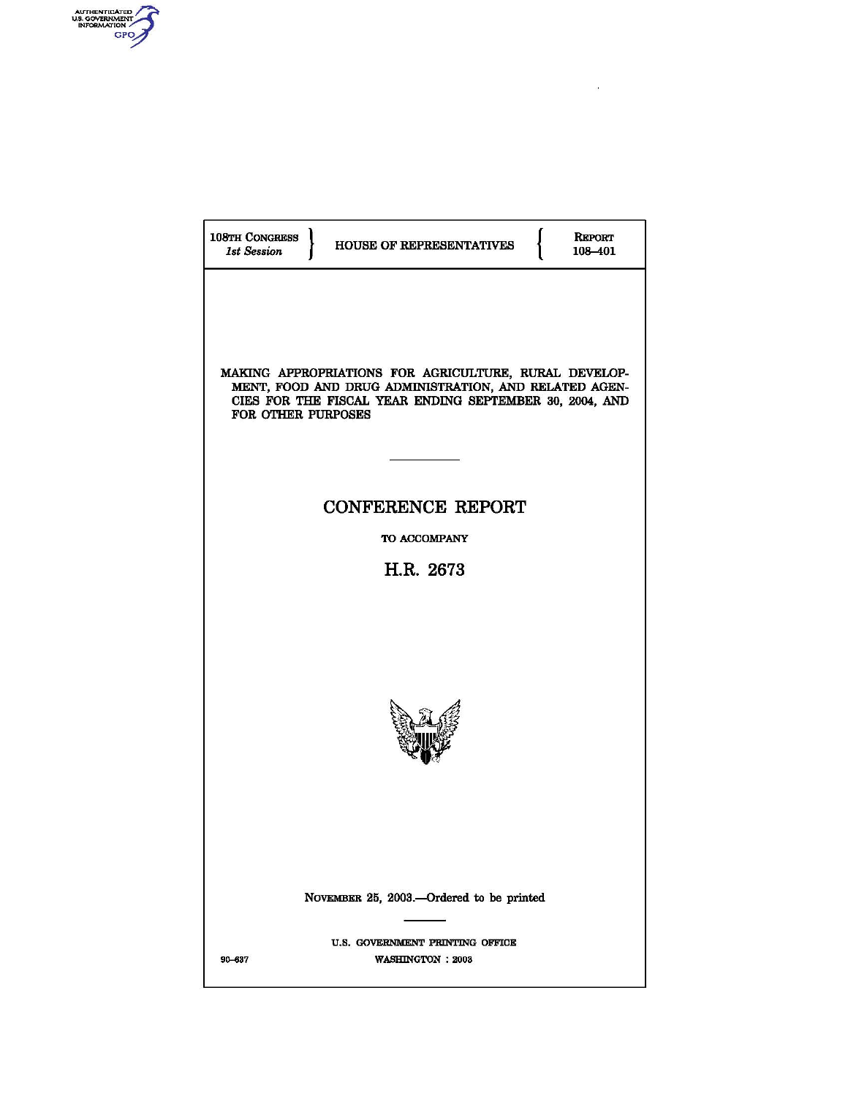

1

| 108TH CONGRESS<br><b>REPORT</b><br>HOUSE OF REPRESENTATIVES<br><b>1st Session</b><br>108-401                                                                                                    |  |
|-------------------------------------------------------------------------------------------------------------------------------------------------------------------------------------------------|--|
| MAKING APPROPRIATIONS FOR AGRICULTURE, RURAL DEVELOP-<br>MENT, FOOD AND DRUG ADMINISTRATION, AND RELATED AGEN-<br>CIES FOR THE FISCAL YEAR ENDING SEPTEMBER 30, 2004, AND<br>FOR OTHER PURPOSES |  |
| <b>CONFERENCE REPORT</b>                                                                                                                                                                        |  |
| TO ACCOMPANY                                                                                                                                                                                    |  |
| H.R. 2673                                                                                                                                                                                       |  |
|                                                                                                                                                                                                 |  |
| NOVEMBER 25, 2003.-Ordered to be printed                                                                                                                                                        |  |
| U.S. GOVERNMENT PRINTING OFFICE<br>90-637<br>WASHINGTON : 2003                                                                                                                                  |  |

 $\omega$